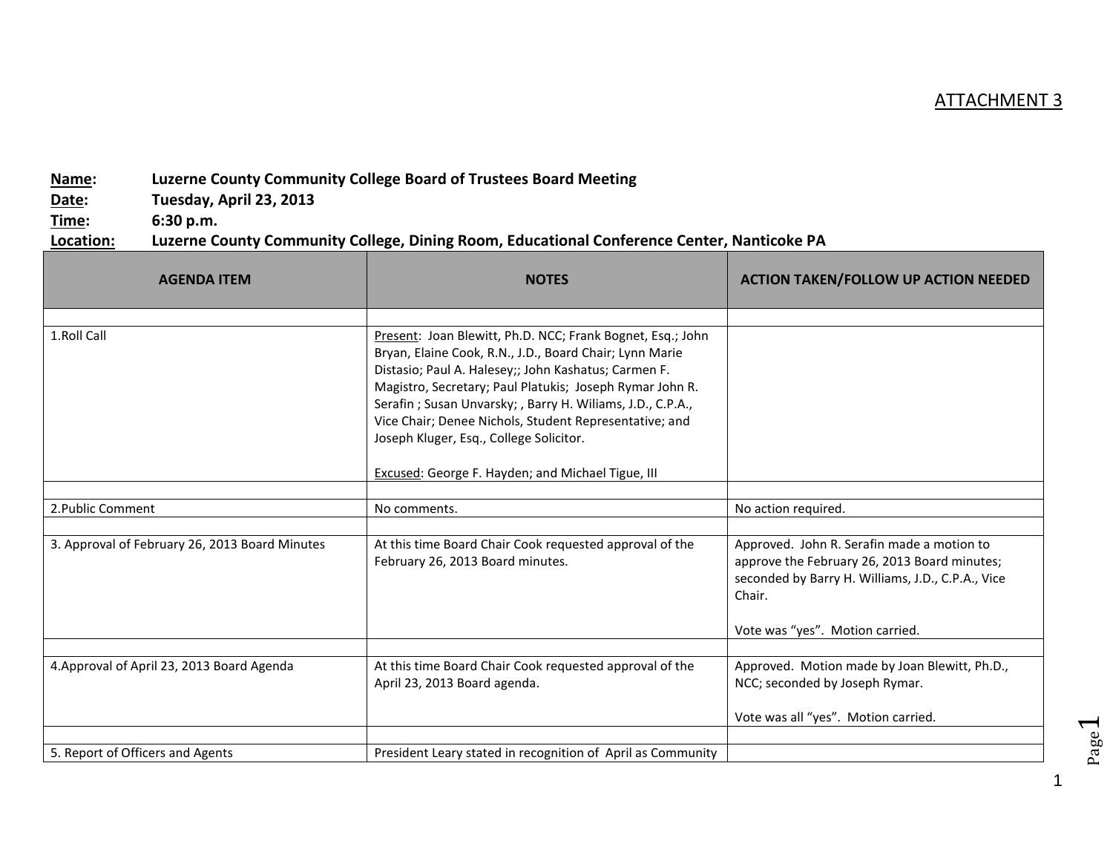## ATTACHMENT 3

## **Name: Luzerne County Community College Board of Trustees Board Meeting**

**Date: Tuesday, April 23, 2013**

**Time: 6:30 p.m.**

## **Location: Luzerne County Community College, Dining Room, Educational Conference Center, Nanticoke PA**

| <b>AGENDA ITEM</b>                             | <b>NOTES</b>                                                                                                                                                                                                                                                                                                                                                                                                 | <b>ACTION TAKEN/FOLLOW UP ACTION NEEDED</b>                                                                                                               |
|------------------------------------------------|--------------------------------------------------------------------------------------------------------------------------------------------------------------------------------------------------------------------------------------------------------------------------------------------------------------------------------------------------------------------------------------------------------------|-----------------------------------------------------------------------------------------------------------------------------------------------------------|
|                                                |                                                                                                                                                                                                                                                                                                                                                                                                              |                                                                                                                                                           |
| 1.Roll Call                                    | Present: Joan Blewitt, Ph.D. NCC; Frank Bognet, Esq.; John<br>Bryan, Elaine Cook, R.N., J.D., Board Chair; Lynn Marie<br>Distasio; Paul A. Halesey;; John Kashatus; Carmen F.<br>Magistro, Secretary; Paul Platukis; Joseph Rymar John R.<br>Serafin; Susan Unvarsky; , Barry H. Wiliams, J.D., C.P.A.,<br>Vice Chair; Denee Nichols, Student Representative; and<br>Joseph Kluger, Esq., College Solicitor. |                                                                                                                                                           |
|                                                | <b>Excused: George F. Hayden; and Michael Tigue, III</b>                                                                                                                                                                                                                                                                                                                                                     |                                                                                                                                                           |
| 2. Public Comment                              | No comments.                                                                                                                                                                                                                                                                                                                                                                                                 | No action required.                                                                                                                                       |
|                                                |                                                                                                                                                                                                                                                                                                                                                                                                              |                                                                                                                                                           |
| 3. Approval of February 26, 2013 Board Minutes | At this time Board Chair Cook requested approval of the<br>February 26, 2013 Board minutes.                                                                                                                                                                                                                                                                                                                  | Approved. John R. Serafin made a motion to<br>approve the February 26, 2013 Board minutes;<br>seconded by Barry H. Williams, J.D., C.P.A., Vice<br>Chair. |
|                                                |                                                                                                                                                                                                                                                                                                                                                                                                              | Vote was "yes". Motion carried.                                                                                                                           |
| 4. Approval of April 23, 2013 Board Agenda     | At this time Board Chair Cook requested approval of the<br>April 23, 2013 Board agenda.                                                                                                                                                                                                                                                                                                                      | Approved. Motion made by Joan Blewitt, Ph.D.,<br>NCC; seconded by Joseph Rymar.                                                                           |
|                                                |                                                                                                                                                                                                                                                                                                                                                                                                              | Vote was all "yes". Motion carried.                                                                                                                       |
| 5. Report of Officers and Agents               | President Leary stated in recognition of April as Community                                                                                                                                                                                                                                                                                                                                                  |                                                                                                                                                           |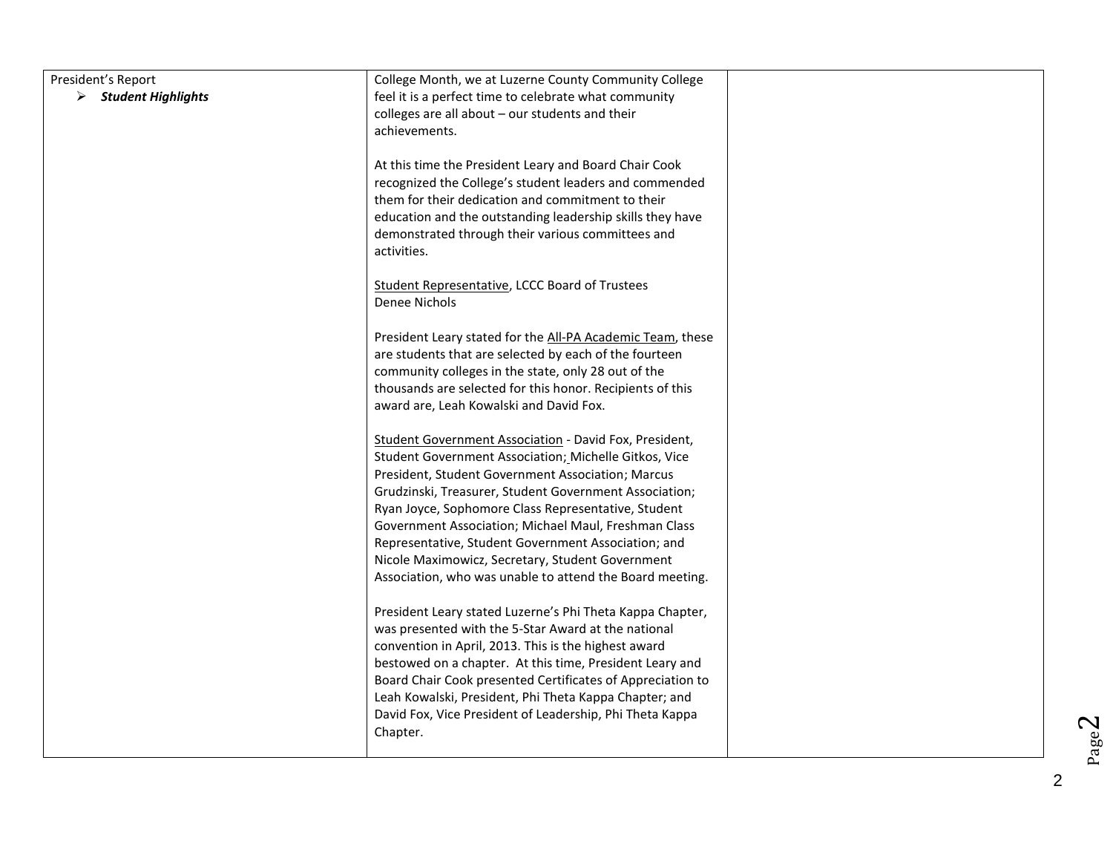| President's Report                  | College Month, we at Luzerne County Community College                                                       |  |
|-------------------------------------|-------------------------------------------------------------------------------------------------------------|--|
| $\triangleright$ Student Highlights | feel it is a perfect time to celebrate what community                                                       |  |
|                                     | colleges are all about - our students and their                                                             |  |
|                                     | achievements.                                                                                               |  |
|                                     |                                                                                                             |  |
|                                     | At this time the President Leary and Board Chair Cook                                                       |  |
|                                     | recognized the College's student leaders and commended                                                      |  |
|                                     | them for their dedication and commitment to their                                                           |  |
|                                     | education and the outstanding leadership skills they have                                                   |  |
|                                     | demonstrated through their various committees and                                                           |  |
|                                     | activities.                                                                                                 |  |
|                                     | Student Representative, LCCC Board of Trustees                                                              |  |
|                                     | Denee Nichols                                                                                               |  |
|                                     |                                                                                                             |  |
|                                     | President Leary stated for the All-PA Academic Team, these                                                  |  |
|                                     | are students that are selected by each of the fourteen                                                      |  |
|                                     | community colleges in the state, only 28 out of the                                                         |  |
|                                     | thousands are selected for this honor. Recipients of this                                                   |  |
|                                     | award are, Leah Kowalski and David Fox.                                                                     |  |
|                                     |                                                                                                             |  |
|                                     | Student Government Association - David Fox, President,                                                      |  |
|                                     | Student Government Association; Michelle Gitkos, Vice                                                       |  |
|                                     | President, Student Government Association; Marcus                                                           |  |
|                                     | Grudzinski, Treasurer, Student Government Association;                                                      |  |
|                                     | Ryan Joyce, Sophomore Class Representative, Student<br>Government Association; Michael Maul, Freshman Class |  |
|                                     | Representative, Student Government Association; and                                                         |  |
|                                     | Nicole Maximowicz, Secretary, Student Government                                                            |  |
|                                     | Association, who was unable to attend the Board meeting.                                                    |  |
|                                     |                                                                                                             |  |
|                                     | President Leary stated Luzerne's Phi Theta Kappa Chapter,                                                   |  |
|                                     | was presented with the 5-Star Award at the national                                                         |  |
|                                     | convention in April, 2013. This is the highest award                                                        |  |
|                                     | bestowed on a chapter. At this time, President Leary and                                                    |  |
|                                     | Board Chair Cook presented Certificates of Appreciation to                                                  |  |
|                                     | Leah Kowalski, President, Phi Theta Kappa Chapter; and                                                      |  |
|                                     | David Fox, Vice President of Leadership, Phi Theta Kappa                                                    |  |
|                                     | Chapter.                                                                                                    |  |
|                                     |                                                                                                             |  |

 $Page<sup>2</sup>$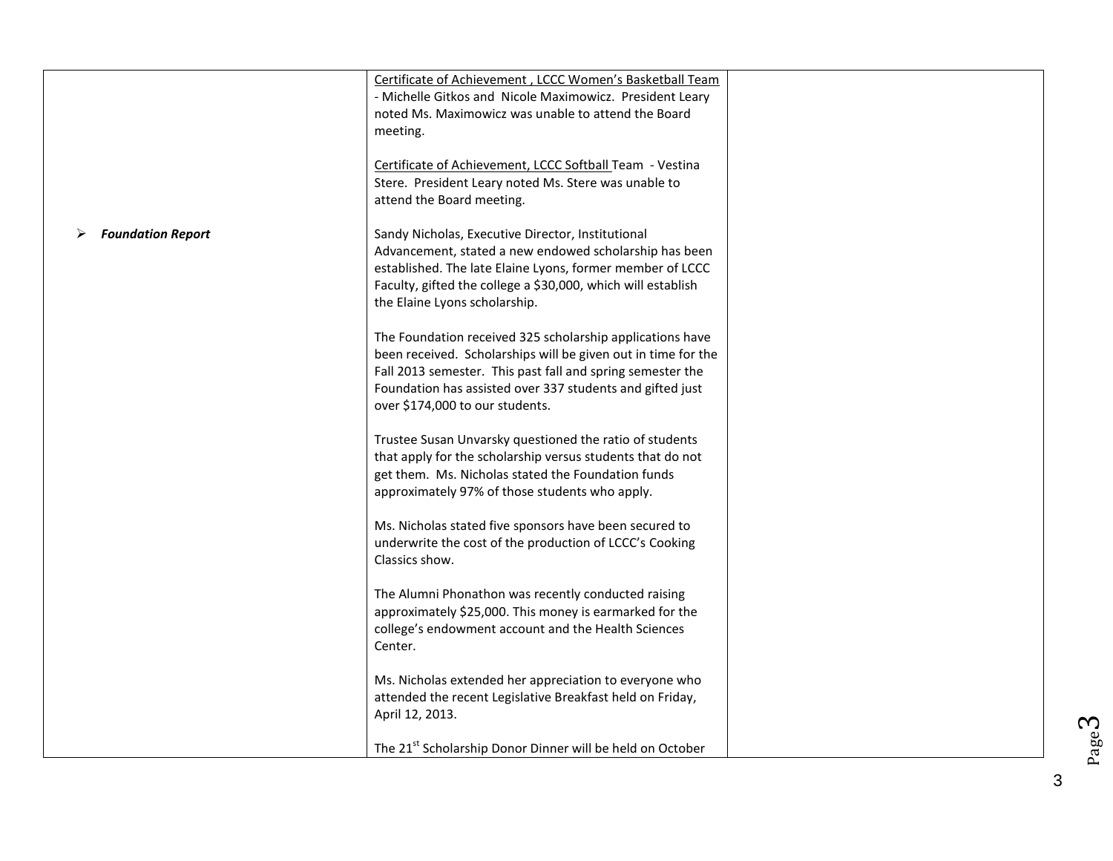|                          | Certificate of Achievement, LCCC Women's Basketball Team<br>- Michelle Gitkos and Nicole Maximowicz. President Leary        |  |
|--------------------------|-----------------------------------------------------------------------------------------------------------------------------|--|
|                          | noted Ms. Maximowicz was unable to attend the Board                                                                         |  |
|                          | meeting.                                                                                                                    |  |
|                          | Certificate of Achievement, LCCC Softball Team - Vestina<br>Stere. President Leary noted Ms. Stere was unable to            |  |
|                          | attend the Board meeting.                                                                                                   |  |
| <b>Foundation Report</b> | Sandy Nicholas, Executive Director, Institutional                                                                           |  |
|                          | Advancement, stated a new endowed scholarship has been<br>established. The late Elaine Lyons, former member of LCCC         |  |
|                          | Faculty, gifted the college a \$30,000, which will establish                                                                |  |
|                          | the Elaine Lyons scholarship.                                                                                               |  |
|                          | The Foundation received 325 scholarship applications have                                                                   |  |
|                          | been received. Scholarships will be given out in time for the<br>Fall 2013 semester. This past fall and spring semester the |  |
|                          | Foundation has assisted over 337 students and gifted just                                                                   |  |
|                          | over \$174,000 to our students.                                                                                             |  |
|                          | Trustee Susan Unvarsky questioned the ratio of students                                                                     |  |
|                          | that apply for the scholarship versus students that do not<br>get them. Ms. Nicholas stated the Foundation funds            |  |
|                          | approximately 97% of those students who apply.                                                                              |  |
|                          | Ms. Nicholas stated five sponsors have been secured to                                                                      |  |
|                          | underwrite the cost of the production of LCCC's Cooking<br>Classics show.                                                   |  |
|                          |                                                                                                                             |  |
|                          | The Alumni Phonathon was recently conducted raising<br>approximately \$25,000. This money is earmarked for the              |  |
|                          | college's endowment account and the Health Sciences                                                                         |  |
|                          | Center.                                                                                                                     |  |
|                          | Ms. Nicholas extended her appreciation to everyone who<br>attended the recent Legislative Breakfast held on Friday,         |  |
|                          | April 12, 2013.                                                                                                             |  |
|                          | The 21 <sup>st</sup> Scholarship Donor Dinner will be held on October                                                       |  |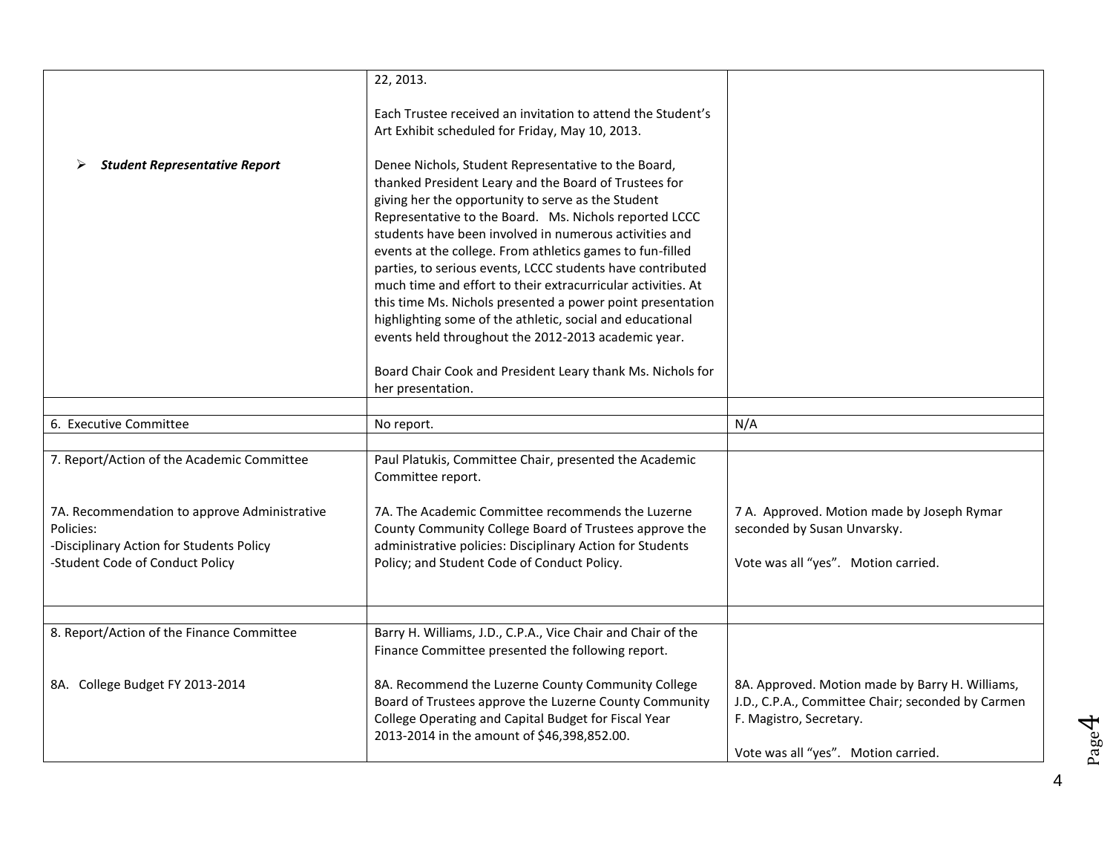|                                                                                                                                          | 22, 2013.                                                                                                                                                                                                                                                                                                                                                                                                                                                                                                                                                                                                                                                                                                                         |                                                                                                                                                                        |
|------------------------------------------------------------------------------------------------------------------------------------------|-----------------------------------------------------------------------------------------------------------------------------------------------------------------------------------------------------------------------------------------------------------------------------------------------------------------------------------------------------------------------------------------------------------------------------------------------------------------------------------------------------------------------------------------------------------------------------------------------------------------------------------------------------------------------------------------------------------------------------------|------------------------------------------------------------------------------------------------------------------------------------------------------------------------|
|                                                                                                                                          | Each Trustee received an invitation to attend the Student's<br>Art Exhibit scheduled for Friday, May 10, 2013.                                                                                                                                                                                                                                                                                                                                                                                                                                                                                                                                                                                                                    |                                                                                                                                                                        |
| <b>Student Representative Report</b>                                                                                                     | Denee Nichols, Student Representative to the Board,<br>thanked President Leary and the Board of Trustees for<br>giving her the opportunity to serve as the Student<br>Representative to the Board. Ms. Nichols reported LCCC<br>students have been involved in numerous activities and<br>events at the college. From athletics games to fun-filled<br>parties, to serious events, LCCC students have contributed<br>much time and effort to their extracurricular activities. At<br>this time Ms. Nichols presented a power point presentation<br>highlighting some of the athletic, social and educational<br>events held throughout the 2012-2013 academic year.<br>Board Chair Cook and President Leary thank Ms. Nichols for |                                                                                                                                                                        |
|                                                                                                                                          | her presentation.                                                                                                                                                                                                                                                                                                                                                                                                                                                                                                                                                                                                                                                                                                                 |                                                                                                                                                                        |
| 6. Executive Committee                                                                                                                   | No report.                                                                                                                                                                                                                                                                                                                                                                                                                                                                                                                                                                                                                                                                                                                        | N/A                                                                                                                                                                    |
|                                                                                                                                          |                                                                                                                                                                                                                                                                                                                                                                                                                                                                                                                                                                                                                                                                                                                                   |                                                                                                                                                                        |
| 7. Report/Action of the Academic Committee                                                                                               | Paul Platukis, Committee Chair, presented the Academic<br>Committee report.                                                                                                                                                                                                                                                                                                                                                                                                                                                                                                                                                                                                                                                       |                                                                                                                                                                        |
| 7A. Recommendation to approve Administrative<br>Policies:<br>-Disciplinary Action for Students Policy<br>-Student Code of Conduct Policy | 7A. The Academic Committee recommends the Luzerne<br>County Community College Board of Trustees approve the<br>administrative policies: Disciplinary Action for Students<br>Policy; and Student Code of Conduct Policy.                                                                                                                                                                                                                                                                                                                                                                                                                                                                                                           | 7 A. Approved. Motion made by Joseph Rymar<br>seconded by Susan Unvarsky.<br>Vote was all "yes". Motion carried.                                                       |
|                                                                                                                                          |                                                                                                                                                                                                                                                                                                                                                                                                                                                                                                                                                                                                                                                                                                                                   |                                                                                                                                                                        |
| 8. Report/Action of the Finance Committee                                                                                                | Barry H. Williams, J.D., C.P.A., Vice Chair and Chair of the<br>Finance Committee presented the following report.                                                                                                                                                                                                                                                                                                                                                                                                                                                                                                                                                                                                                 |                                                                                                                                                                        |
| 8A. College Budget FY 2013-2014                                                                                                          | 8A. Recommend the Luzerne County Community College<br>Board of Trustees approve the Luzerne County Community<br>College Operating and Capital Budget for Fiscal Year<br>2013-2014 in the amount of \$46,398,852.00.                                                                                                                                                                                                                                                                                                                                                                                                                                                                                                               | 8A. Approved. Motion made by Barry H. Williams,<br>J.D., C.P.A., Committee Chair; seconded by Carmen<br>F. Magistro, Secretary.<br>Vote was all "yes". Motion carried. |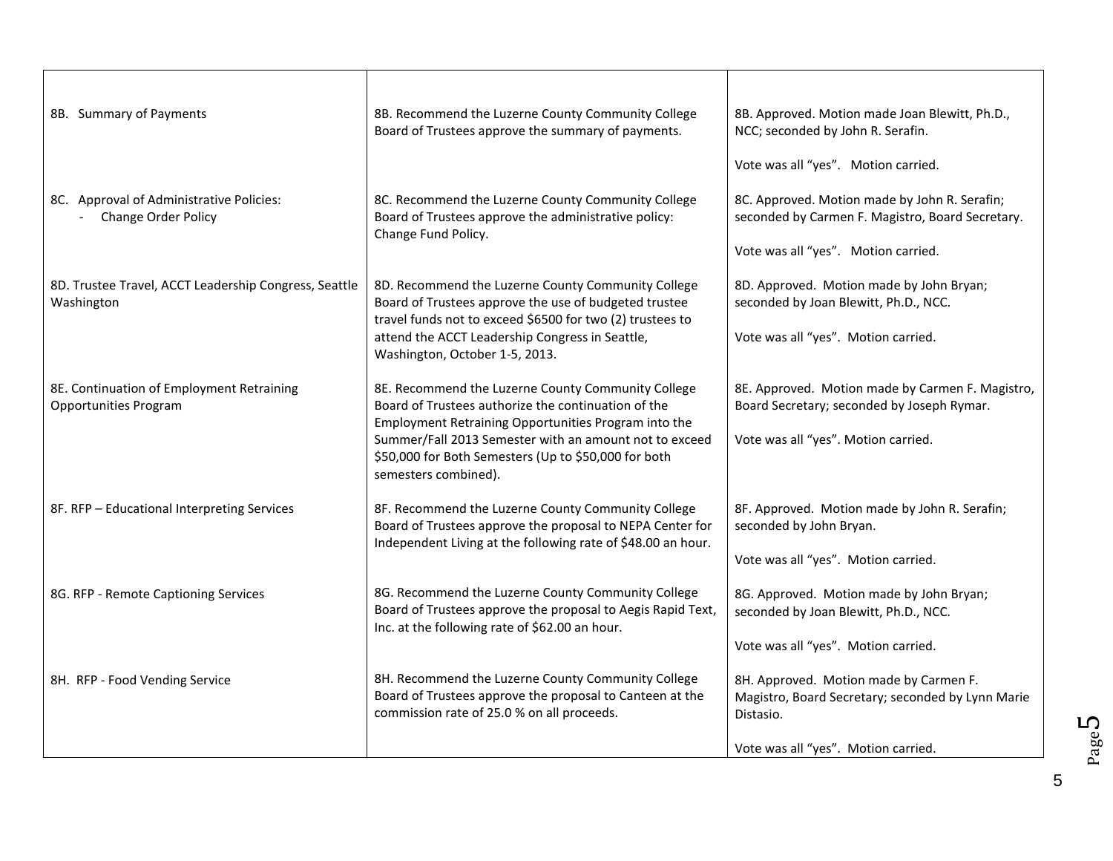| 8B. Summary of Payments                                                   | 8B. Recommend the Luzerne County Community College<br>Board of Trustees approve the summary of payments.                                                                                       | 8B. Approved. Motion made Joan Blewitt, Ph.D.,<br>NCC; seconded by John R. Serafin.                      |
|---------------------------------------------------------------------------|------------------------------------------------------------------------------------------------------------------------------------------------------------------------------------------------|----------------------------------------------------------------------------------------------------------|
|                                                                           |                                                                                                                                                                                                | Vote was all "yes". Motion carried.                                                                      |
| 8C. Approval of Administrative Policies:<br>Change Order Policy           | 8C. Recommend the Luzerne County Community College<br>Board of Trustees approve the administrative policy:                                                                                     | 8C. Approved. Motion made by John R. Serafin;<br>seconded by Carmen F. Magistro, Board Secretary.        |
|                                                                           | Change Fund Policy.                                                                                                                                                                            | Vote was all "yes". Motion carried.                                                                      |
| 8D. Trustee Travel, ACCT Leadership Congress, Seattle<br>Washington       | 8D. Recommend the Luzerne County Community College<br>Board of Trustees approve the use of budgeted trustee<br>travel funds not to exceed \$6500 for two (2) trustees to                       | 8D. Approved. Motion made by John Bryan;<br>seconded by Joan Blewitt, Ph.D., NCC.                        |
|                                                                           | attend the ACCT Leadership Congress in Seattle,<br>Washington, October 1-5, 2013.                                                                                                              | Vote was all "yes". Motion carried.                                                                      |
| 8E. Continuation of Employment Retraining<br><b>Opportunities Program</b> | 8E. Recommend the Luzerne County Community College<br>Board of Trustees authorize the continuation of the                                                                                      | 8E. Approved. Motion made by Carmen F. Magistro,<br>Board Secretary; seconded by Joseph Rymar.           |
|                                                                           | Employment Retraining Opportunities Program into the<br>Summer/Fall 2013 Semester with an amount not to exceed<br>\$50,000 for Both Semesters (Up to \$50,000 for both<br>semesters combined). | Vote was all "yes". Motion carried.                                                                      |
| 8F. RFP - Educational Interpreting Services                               | 8F. Recommend the Luzerne County Community College<br>Board of Trustees approve the proposal to NEPA Center for<br>Independent Living at the following rate of \$48.00 an hour.                | 8F. Approved. Motion made by John R. Serafin;<br>seconded by John Bryan.                                 |
|                                                                           |                                                                                                                                                                                                | Vote was all "yes". Motion carried.                                                                      |
| 8G. RFP - Remote Captioning Services                                      | 8G. Recommend the Luzerne County Community College<br>Board of Trustees approve the proposal to Aegis Rapid Text,<br>Inc. at the following rate of \$62.00 an hour.                            | 8G. Approved. Motion made by John Bryan;<br>seconded by Joan Blewitt, Ph.D., NCC.                        |
|                                                                           |                                                                                                                                                                                                | Vote was all "yes". Motion carried.                                                                      |
| 8H. RFP - Food Vending Service                                            | 8H. Recommend the Luzerne County Community College<br>Board of Trustees approve the proposal to Canteen at the<br>commission rate of 25.0 % on all proceeds.                                   | 8H. Approved. Motion made by Carmen F.<br>Magistro, Board Secretary; seconded by Lynn Marie<br>Distasio. |
|                                                                           |                                                                                                                                                                                                | Vote was all "yes". Motion carried.                                                                      |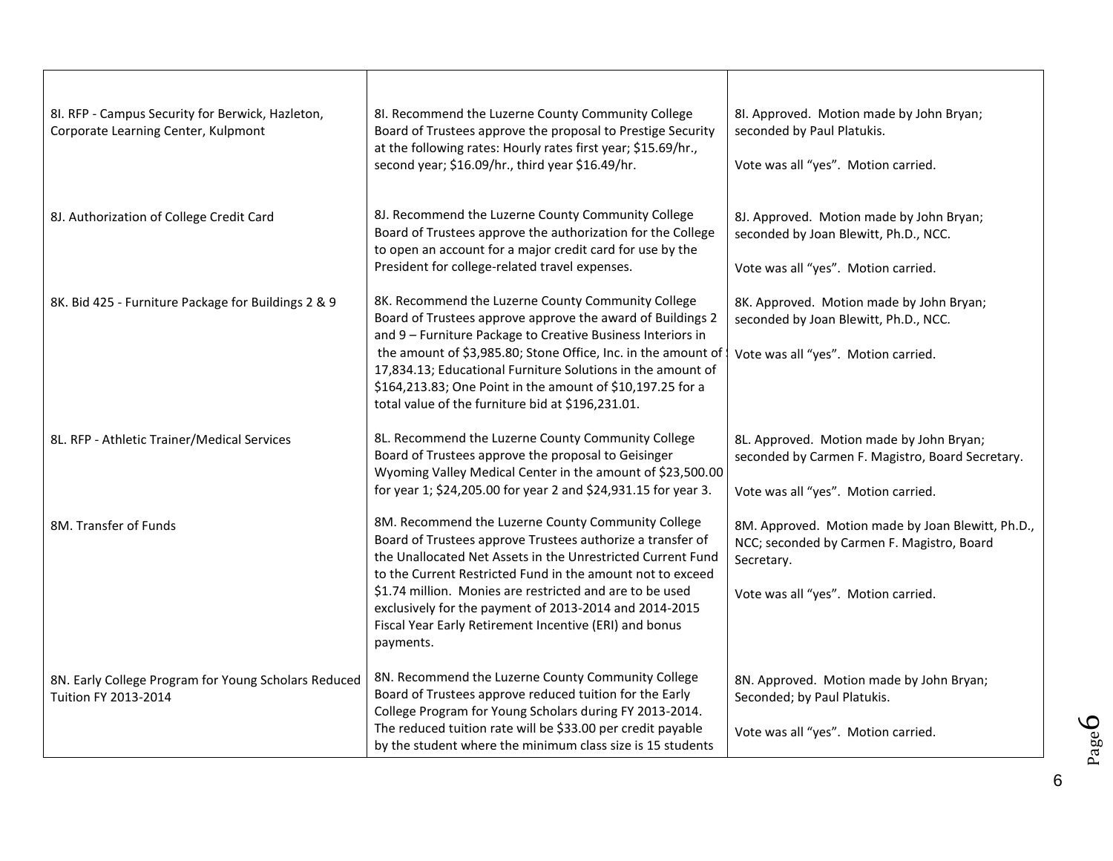| 8I. RFP - Campus Security for Berwick, Hazleton,<br>Corporate Learning Center, Kulpmont | 8I. Recommend the Luzerne County Community College<br>Board of Trustees approve the proposal to Prestige Security<br>at the following rates: Hourly rates first year; \$15.69/hr.,<br>second year; \$16.09/hr., third year \$16.49/hr.                                                                                                                                                                                                     | 8I. Approved. Motion made by John Bryan;<br>seconded by Paul Platukis.<br>Vote was all "yes". Motion carried.                                        |
|-----------------------------------------------------------------------------------------|--------------------------------------------------------------------------------------------------------------------------------------------------------------------------------------------------------------------------------------------------------------------------------------------------------------------------------------------------------------------------------------------------------------------------------------------|------------------------------------------------------------------------------------------------------------------------------------------------------|
| 8J. Authorization of College Credit Card                                                | 8J. Recommend the Luzerne County Community College<br>Board of Trustees approve the authorization for the College<br>to open an account for a major credit card for use by the<br>President for college-related travel expenses.                                                                                                                                                                                                           | 8J. Approved. Motion made by John Bryan;<br>seconded by Joan Blewitt, Ph.D., NCC.<br>Vote was all "yes". Motion carried.                             |
| 8K. Bid 425 - Furniture Package for Buildings 2 & 9                                     | 8K. Recommend the Luzerne County Community College<br>Board of Trustees approve approve the award of Buildings 2<br>and 9 - Furniture Package to Creative Business Interiors in<br>the amount of \$3,985.80; Stone Office, Inc. in the amount of<br>17,834.13; Educational Furniture Solutions in the amount of<br>\$164,213.83; One Point in the amount of \$10,197.25 for a<br>total value of the furniture bid at \$196,231.01.         | 8K. Approved. Motion made by John Bryan;<br>seconded by Joan Blewitt, Ph.D., NCC.<br>Vote was all "yes". Motion carried.                             |
| 8L. RFP - Athletic Trainer/Medical Services                                             | 8L. Recommend the Luzerne County Community College<br>Board of Trustees approve the proposal to Geisinger<br>Wyoming Valley Medical Center in the amount of \$23,500.00<br>for year 1; \$24,205.00 for year 2 and \$24,931.15 for year 3.                                                                                                                                                                                                  | 8L. Approved. Motion made by John Bryan;<br>seconded by Carmen F. Magistro, Board Secretary.<br>Vote was all "yes". Motion carried.                  |
| 8M. Transfer of Funds                                                                   | 8M. Recommend the Luzerne County Community College<br>Board of Trustees approve Trustees authorize a transfer of<br>the Unallocated Net Assets in the Unrestricted Current Fund<br>to the Current Restricted Fund in the amount not to exceed<br>\$1.74 million. Monies are restricted and are to be used<br>exclusively for the payment of 2013-2014 and 2014-2015<br>Fiscal Year Early Retirement Incentive (ERI) and bonus<br>payments. | 8M. Approved. Motion made by Joan Blewitt, Ph.D.,<br>NCC; seconded by Carmen F. Magistro, Board<br>Secretary.<br>Vote was all "yes". Motion carried. |
| 8N. Early College Program for Young Scholars Reduced<br>Tuition FY 2013-2014            | 8N. Recommend the Luzerne County Community College<br>Board of Trustees approve reduced tuition for the Early<br>College Program for Young Scholars during FY 2013-2014.<br>The reduced tuition rate will be \$33.00 per credit payable<br>by the student where the minimum class size is 15 students                                                                                                                                      | 8N. Approved. Motion made by John Bryan;<br>Seconded; by Paul Platukis.<br>Vote was all "yes". Motion carried.                                       |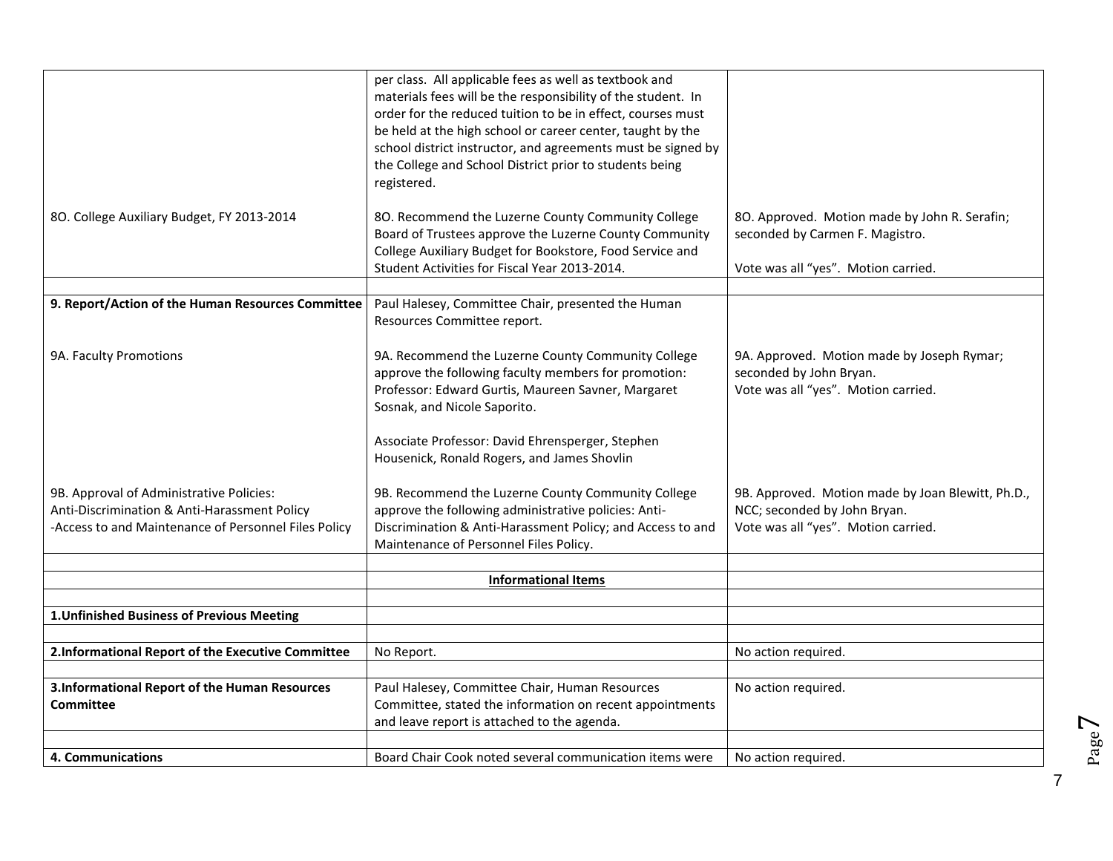|                                                                                                                                                  | per class. All applicable fees as well as textbook and<br>materials fees will be the responsibility of the student. In<br>order for the reduced tuition to be in effect, courses must<br>be held at the high school or career center, taught by the |                                                                                                                          |
|--------------------------------------------------------------------------------------------------------------------------------------------------|-----------------------------------------------------------------------------------------------------------------------------------------------------------------------------------------------------------------------------------------------------|--------------------------------------------------------------------------------------------------------------------------|
|                                                                                                                                                  | school district instructor, and agreements must be signed by<br>the College and School District prior to students being<br>registered.                                                                                                              |                                                                                                                          |
| 80. College Auxiliary Budget, FY 2013-2014                                                                                                       | 80. Recommend the Luzerne County Community College<br>Board of Trustees approve the Luzerne County Community<br>College Auxiliary Budget for Bookstore, Food Service and                                                                            | 80. Approved. Motion made by John R. Serafin;<br>seconded by Carmen F. Magistro.                                         |
|                                                                                                                                                  | Student Activities for Fiscal Year 2013-2014.                                                                                                                                                                                                       | Vote was all "yes". Motion carried.                                                                                      |
|                                                                                                                                                  |                                                                                                                                                                                                                                                     |                                                                                                                          |
| 9. Report/Action of the Human Resources Committee                                                                                                | Paul Halesey, Committee Chair, presented the Human<br>Resources Committee report.                                                                                                                                                                   |                                                                                                                          |
| 9A. Faculty Promotions                                                                                                                           | 9A. Recommend the Luzerne County Community College<br>approve the following faculty members for promotion:<br>Professor: Edward Gurtis, Maureen Savner, Margaret<br>Sosnak, and Nicole Saporito.                                                    | 9A. Approved. Motion made by Joseph Rymar;<br>seconded by John Bryan.<br>Vote was all "yes". Motion carried.             |
|                                                                                                                                                  | Associate Professor: David Ehrensperger, Stephen<br>Housenick, Ronald Rogers, and James Shovlin                                                                                                                                                     |                                                                                                                          |
| 9B. Approval of Administrative Policies:<br>Anti-Discrimination & Anti-Harassment Policy<br>-Access to and Maintenance of Personnel Files Policy | 9B. Recommend the Luzerne County Community College<br>approve the following administrative policies: Anti-<br>Discrimination & Anti-Harassment Policy; and Access to and<br>Maintenance of Personnel Files Policy.                                  | 9B. Approved. Motion made by Joan Blewitt, Ph.D.,<br>NCC; seconded by John Bryan.<br>Vote was all "yes". Motion carried. |
|                                                                                                                                                  |                                                                                                                                                                                                                                                     |                                                                                                                          |
|                                                                                                                                                  | <b>Informational Items</b>                                                                                                                                                                                                                          |                                                                                                                          |
|                                                                                                                                                  |                                                                                                                                                                                                                                                     |                                                                                                                          |
| 1. Unfinished Business of Previous Meeting                                                                                                       |                                                                                                                                                                                                                                                     |                                                                                                                          |
|                                                                                                                                                  |                                                                                                                                                                                                                                                     |                                                                                                                          |
| 2.Informational Report of the Executive Committee                                                                                                | No Report.                                                                                                                                                                                                                                          | No action required.                                                                                                      |
|                                                                                                                                                  |                                                                                                                                                                                                                                                     |                                                                                                                          |
| 3.Informational Report of the Human Resources                                                                                                    | Paul Halesey, Committee Chair, Human Resources                                                                                                                                                                                                      | No action required.                                                                                                      |
| <b>Committee</b>                                                                                                                                 | Committee, stated the information on recent appointments                                                                                                                                                                                            |                                                                                                                          |
|                                                                                                                                                  | and leave report is attached to the agenda.                                                                                                                                                                                                         |                                                                                                                          |
| 4. Communications                                                                                                                                | Board Chair Cook noted several communication items were                                                                                                                                                                                             | No action required.                                                                                                      |

Page  $\blacktriangleright$